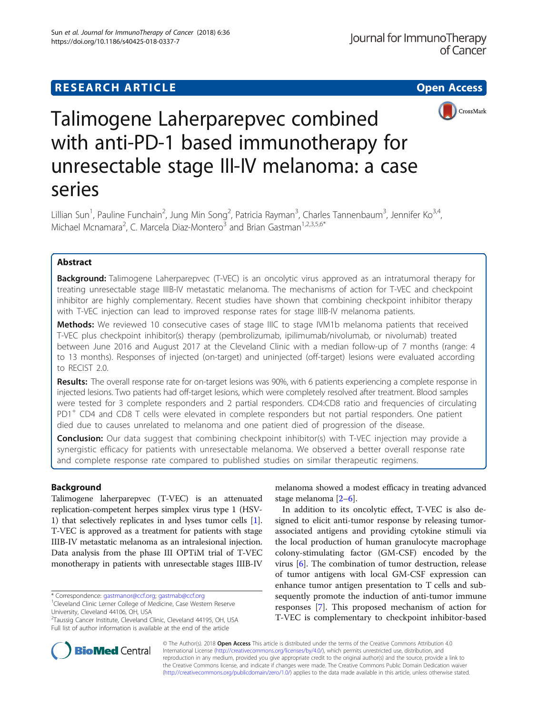## **RESEARCH ARTICLE Example 2014 12:30 The Contract of Contract Contract Contract Contract Contract Contract Contract Contract Contract Contract Contract Contract Contract Contract Contract Contract Contract Contract Contr**



# Talimogene Laherparepvec combined with anti-PD-1 based immunotherapy for unresectable stage III-IV melanoma: a case series

Lillian Sun<sup>1</sup>, Pauline Funchain<sup>2</sup>, Jung Min Song<sup>2</sup>, Patricia Rayman<sup>3</sup>, Charles Tannenbaum<sup>3</sup>, Jennifer Ko<sup>3,4</sup>, Michael Mcnamara<sup>2</sup>, C. Marcela Diaz-Montero<sup>3</sup> and Brian Gastman<sup>1,2,3,5,6\*</sup>

## Abstract

**Background:** Talimogene Laherparepvec (T-VEC) is an oncolytic virus approved as an intratumoral therapy for treating unresectable stage IIIB-IV metastatic melanoma. The mechanisms of action for T-VEC and checkpoint inhibitor are highly complementary. Recent studies have shown that combining checkpoint inhibitor therapy with T-VEC injection can lead to improved response rates for stage IIIB-IV melanoma patients.

Methods: We reviewed 10 consecutive cases of stage IIIC to stage IVM1b melanoma patients that received T-VEC plus checkpoint inhibitor(s) therapy (pembrolizumab, ipilimumab/nivolumab, or nivolumab) treated between June 2016 and August 2017 at the Cleveland Clinic with a median follow-up of 7 months (range: 4 to 13 months). Responses of injected (on-target) and uninjected (off-target) lesions were evaluated according to RECIST 2.0.

Results: The overall response rate for on-target lesions was 90%, with 6 patients experiencing a complete response in injected lesions. Two patients had off-target lesions, which were completely resolved after treatment. Blood samples were tested for 3 complete responders and 2 partial responders. CD4:CD8 ratio and frequencies of circulating PD1<sup>+</sup> CD4 and CD8 T cells were elevated in complete responders but not partial responders. One patient died due to causes unrelated to melanoma and one patient died of progression of the disease.

**Conclusion:** Our data suggest that combining checkpoint inhibitor(s) with T-VEC injection may provide a synergistic efficacy for patients with unresectable melanoma. We observed a better overall response rate and complete response rate compared to published studies on similar therapeutic regimens.

## Background

Talimogene laherparepvec (T-VEC) is an attenuated replication-competent herpes simplex virus type 1 (HSV-1) that selectively replicates in and lyses tumor cells [[1](#page-6-0)]. T-VEC is approved as a treatment for patients with stage IIIB-IV metastatic melanoma as an intralesional injection. Data analysis from the phase III OPTiM trial of T-VEC monotherapy in patients with unresectable stages IIIB-IV

\* Correspondence: [gastmanor@ccf.org](mailto:gastmanor@ccf.org); [gastmab@ccf.org](mailto:gastmab@ccf.org) <sup>1</sup>

melanoma showed a modest efficacy in treating advanced stage melanoma [\[2](#page-6-0)–[6\]](#page-6-0).

In addition to its oncolytic effect, T-VEC is also designed to elicit anti-tumor response by releasing tumorassociated antigens and providing cytokine stimuli via the local production of human granulocyte macrophage colony-stimulating factor (GM-CSF) encoded by the virus [\[6\]](#page-6-0). The combination of tumor destruction, release of tumor antigens with local GM-CSF expression can enhance tumor antigen presentation to T cells and subsequently promote the induction of anti-tumor immune responses [\[7](#page-6-0)]. This proposed mechanism of action for T-VEC is complementary to checkpoint inhibitor-based



© The Author(s). 2018 Open Access This article is distributed under the terms of the Creative Commons Attribution 4.0 International License [\(http://creativecommons.org/licenses/by/4.0/](http://creativecommons.org/licenses/by/4.0/)), which permits unrestricted use, distribution, and reproduction in any medium, provided you give appropriate credit to the original author(s) and the source, provide a link to the Creative Commons license, and indicate if changes were made. The Creative Commons Public Domain Dedication waiver [\(http://creativecommons.org/publicdomain/zero/1.0/](http://creativecommons.org/publicdomain/zero/1.0/)) applies to the data made available in this article, unless otherwise stated.

<sup>&</sup>lt;sup>1</sup> Cleveland Clinic Lerner College of Medicine, Case Western Reserve University, Cleveland 44106, OH, USA

<sup>&</sup>lt;sup>2</sup>Taussig Cancer Institute, Cleveland Clinic, Cleveland 44195, OH, USA Full list of author information is available at the end of the article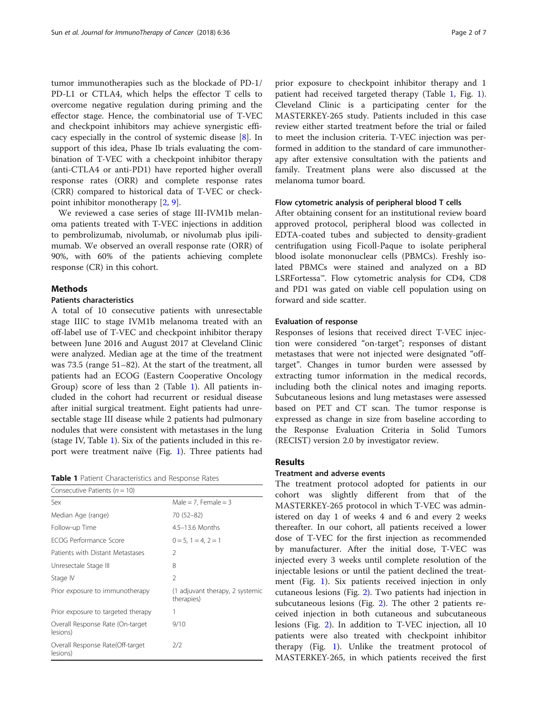<span id="page-1-0"></span>tumor immunotherapies such as the blockade of PD-1/ PD-L1 or CTLA4, which helps the effector T cells to overcome negative regulation during priming and the effector stage. Hence, the combinatorial use of T-VEC and checkpoint inhibitors may achieve synergistic efficacy especially in the control of systemic disease [[8\]](#page-6-0). In support of this idea, Phase Ib trials evaluating the combination of T-VEC with a checkpoint inhibitor therapy (anti-CTLA4 or anti-PD1) have reported higher overall response rates (ORR) and complete response rates (CRR) compared to historical data of T-VEC or checkpoint inhibitor monotherapy [\[2,](#page-6-0) [9\]](#page-6-0).

We reviewed a case series of stage III-IVM1b melanoma patients treated with T-VEC injections in addition to pembrolizumab, nivolumab, or nivolumab plus ipilimumab. We observed an overall response rate (ORR) of 90%, with 60% of the patients achieving complete response (CR) in this cohort.

## **Methods**

## Patients characteristics

A total of 10 consecutive patients with unresectable stage IIIC to stage IVM1b melanoma treated with an off-label use of T-VEC and checkpoint inhibitor therapy between June 2016 and August 2017 at Cleveland Clinic were analyzed. Median age at the time of the treatment was 73.5 (range 51–82). At the start of the treatment, all patients had an ECOG (Eastern Cooperative Oncology Group) score of less than 2 (Table 1). All patients included in the cohort had recurrent or residual disease after initial surgical treatment. Eight patients had unresectable stage III disease while 2 patients had pulmonary nodules that were consistent with metastases in the lung (stage IV, Table 1). Six of the patients included in this report were treatment naïve (Fig. [1](#page-2-0)). Three patients had

Table 1 Patient Characteristics and Response Rates

| Consecutive Patients ( $n = 10$ )            |                                               |
|----------------------------------------------|-----------------------------------------------|
| Sex                                          | Male = 7, Female = 3                          |
| Median Age (range)                           | 70 (52-82)                                    |
| Follow-up Time                               | $4.5 - 13.6$ Months                           |
| <b>FCOG Performance Score</b>                | $0 = 5, 1 = 4, 2 = 1$                         |
| Patients with Distant Metastases             | 2                                             |
| Unresectale Stage III                        | 8                                             |
| Stage IV                                     | $\overline{2}$                                |
| Prior exposure to immunotherapy              | (1 adjuvant therapy, 2 systemic<br>therapies) |
| Prior exposure to targeted therapy           | 1                                             |
| Overall Response Rate (On-target<br>lesions) | 9/10                                          |
| Overall Response Rate(Off-target<br>lesions) | 2/2                                           |

prior exposure to checkpoint inhibitor therapy and 1 patient had received targeted therapy (Table 1, Fig. [1](#page-2-0)). Cleveland Clinic is a participating center for the MASTERKEY-265 study. Patients included in this case review either started treatment before the trial or failed to meet the inclusion criteria. T-VEC injection was performed in addition to the standard of care immunotherapy after extensive consultation with the patients and family. Treatment plans were also discussed at the melanoma tumor board.

## Flow cytometric analysis of peripheral blood T cells

After obtaining consent for an institutional review board approved protocol, peripheral blood was collected in EDTA-coated tubes and subjected to density-gradient centrifugation using Ficoll-Paque to isolate peripheral blood isolate mononuclear cells (PBMCs). Freshly isolated PBMCs were stained and analyzed on a BD LSRFortessa™. Flow cytometric analysis for CD4, CD8 and PD1 was gated on viable cell population using on forward and side scatter.

## Evaluation of response

Responses of lesions that received direct T-VEC injection were considered "on-target"; responses of distant metastases that were not injected were designated "offtarget". Changes in tumor burden were assessed by extracting tumor information in the medical records, including both the clinical notes and imaging reports. Subcutaneous lesions and lung metastases were assessed based on PET and CT scan. The tumor response is expressed as change in size from baseline according to the Response Evaluation Criteria in Solid Tumors (RECIST) version 2.0 by investigator review.

## Results

#### Treatment and adverse events

The treatment protocol adopted for patients in our cohort was slightly different from that of the MASTERKEY-265 protocol in which T-VEC was administered on day 1 of weeks 4 and 6 and every 2 weeks thereafter. In our cohort, all patients received a lower dose of T-VEC for the first injection as recommended by manufacturer. After the initial dose, T-VEC was injected every 3 weeks until complete resolution of the injectable lesions or until the patient declined the treatment (Fig. [1\)](#page-2-0). Six patients received injection in only cutaneous lesions (Fig. [2\)](#page-2-0). Two patients had injection in subcutaneous lesions (Fig. [2](#page-2-0)). The other 2 patients received injection in both cutaneous and subcutaneous lesions (Fig. [2](#page-2-0)). In addition to T-VEC injection, all 10 patients were also treated with checkpoint inhibitor therapy (Fig. [1](#page-2-0)). Unlike the treatment protocol of MASTERKEY-265, in which patients received the first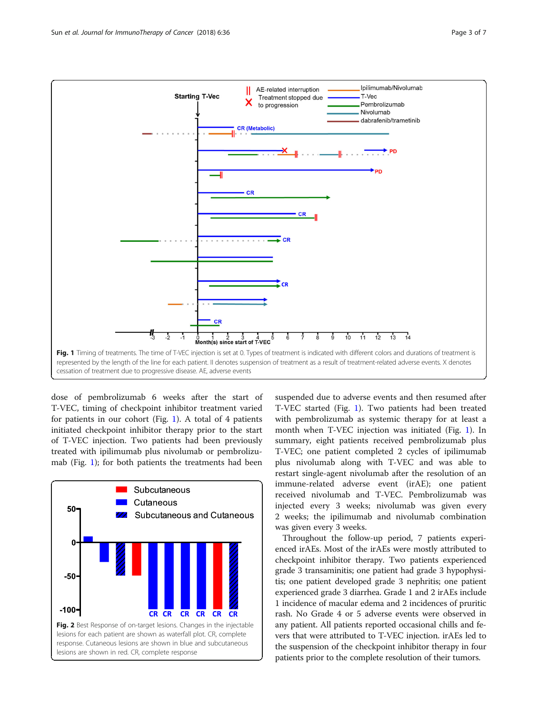<span id="page-2-0"></span>

dose of pembrolizumab 6 weeks after the start of T-VEC, timing of checkpoint inhibitor treatment varied for patients in our cohort (Fig. 1). A total of 4 patients initiated checkpoint inhibitor therapy prior to the start of T-VEC injection. Two patients had been previously treated with ipilimumab plus nivolumab or pembrolizumab (Fig. 1); for both patients the treatments had been



suspended due to adverse events and then resumed after T-VEC started (Fig. 1). Two patients had been treated with pembrolizumab as systemic therapy for at least a month when T-VEC injection was initiated (Fig. 1). In summary, eight patients received pembrolizumab plus T-VEC; one patient completed 2 cycles of ipilimumab plus nivolumab along with T-VEC and was able to restart single-agent nivolumab after the resolution of an immune-related adverse event (irAE); one patient received nivolumab and T-VEC. Pembrolizumab was injected every 3 weeks; nivolumab was given every 2 weeks; the ipilimumab and nivolumab combination was given every 3 weeks.

Throughout the follow-up period, 7 patients experienced irAEs. Most of the irAEs were mostly attributed to checkpoint inhibitor therapy. Two patients experienced grade 3 transaminitis; one patient had grade 3 hypophysitis; one patient developed grade 3 nephritis; one patient experienced grade 3 diarrhea. Grade 1 and 2 irAEs include 1 incidence of macular edema and 2 incidences of pruritic rash. No Grade 4 or 5 adverse events were observed in any patient. All patients reported occasional chills and fevers that were attributed to T-VEC injection. irAEs led to the suspension of the checkpoint inhibitor therapy in four patients prior to the complete resolution of their tumors.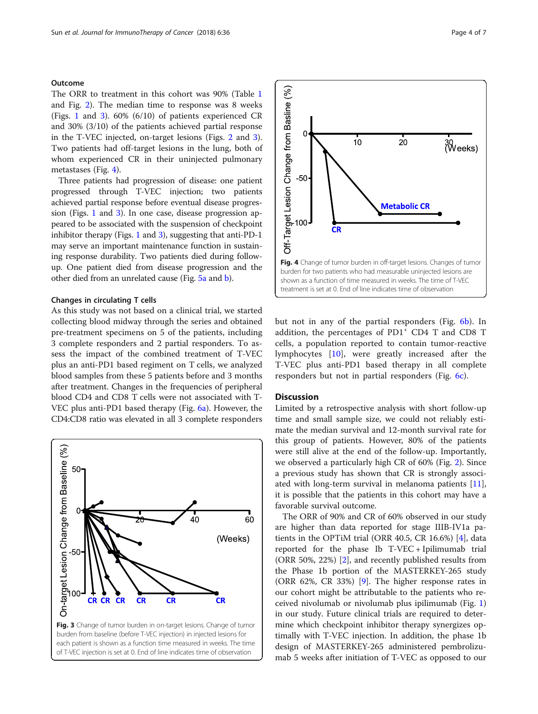## <span id="page-3-0"></span>Outcome

The ORR to treatment in this cohort was 90% (Table [1](#page-1-0) and Fig. [2](#page-2-0)). The median time to response was 8 weeks (Figs. [1](#page-2-0) and 3). 60% (6/10) of patients experienced CR and 30% (3/10) of the patients achieved partial response in the T-VEC injected, on-target lesions (Figs. [2](#page-2-0) and 3). Two patients had off-target lesions in the lung, both of whom experienced CR in their uninjected pulmonary metastases (Fig. 4).

Three patients had progression of disease: one patient progressed through T-VEC injection; two patients achieved partial response before eventual disease progression (Figs. [1](#page-2-0) and 3). In one case, disease progression appeared to be associated with the suspension of checkpoint inhibitor therapy (Figs. [1](#page-2-0) and 3), suggesting that anti-PD-1 may serve an important maintenance function in sustaining response durability. Two patients died during followup. One patient died from disease progression and the other died from an unrelated cause (Fig. [5a](#page-4-0) and [b\)](#page-4-0).

### Changes in circulating T cells

As this study was not based on a clinical trial, we started collecting blood midway through the series and obtained pre-treatment specimens on 5 of the patients, including 3 complete responders and 2 partial responders. To assess the impact of the combined treatment of T-VEC plus an anti-PD1 based regiment on T cells, we analyzed blood samples from these 5 patients before and 3 months after treatment. Changes in the frequencies of peripheral blood CD4 and CD8 T cells were not associated with T-VEC plus anti-PD1 based therapy (Fig. [6a](#page-4-0)). However, the CD4:CD8 ratio was elevated in all 3 complete responders



Off-Target Lesion Change from Basline (%)  $\overline{0}$  $10$ 20 30<sub>(Weeks</sub>)  $-50$ **Metabolic CR**  $00$ **CR** Fig. 4 Change of tumor burden in off-target lesions. Changes of tumor burden for two patients who had measurable uninjected lesions are shown as a function of time measured in weeks. The time of T-VEC treatment is set at 0. End of line indicates time of observation

but not in any of the partial responders (Fig. [6b\)](#page-4-0). In addition, the percentages of  $PDI^+$  CD4 T and CD8 T cells, a population reported to contain tumor-reactive lymphocytes [\[10](#page-6-0)], were greatly increased after the T-VEC plus anti-PD1 based therapy in all complete responders but not in partial responders (Fig. [6c\)](#page-4-0).

#### **Discussion**

Limited by a retrospective analysis with short follow-up time and small sample size, we could not reliably estimate the median survival and 12-month survival rate for this group of patients. However, 80% of the patients were still alive at the end of the follow-up. Importantly, we observed a particularly high CR of 60% (Fig. [2](#page-2-0)). Since a previous study has shown that CR is strongly associated with long-term survival in melanoma patients [\[11](#page-6-0)], it is possible that the patients in this cohort may have a favorable survival outcome.

The ORR of 90% and CR of 60% observed in our study are higher than data reported for stage IIIB-IV1a patients in the OPTiM trial (ORR 40.5, CR 16.6%) [\[4](#page-6-0)], data reported for the phase Ib T-VEC + Ipilimumab trial (ORR 50%, 22%) [[2\]](#page-6-0), and recently published results from the Phase 1b portion of the MASTERKEY-265 study (ORR 62%, CR 33%) [\[9](#page-6-0)]. The higher response rates in our cohort might be attributable to the patients who received nivolumab or nivolumab plus ipilimumab (Fig. [1](#page-2-0)) in our study. Future clinical trials are required to determine which checkpoint inhibitor therapy synergizes optimally with T-VEC injection. In addition, the phase 1b design of MASTERKEY-265 administered pembrolizumab 5 weeks after initiation of T-VEC as opposed to our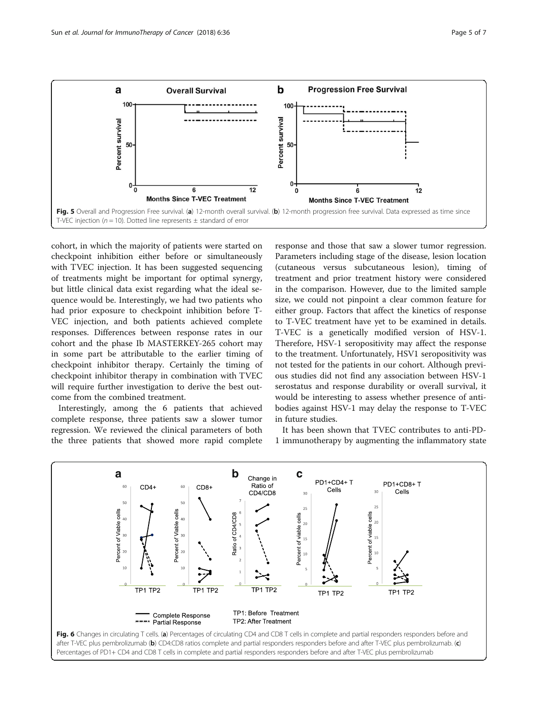<span id="page-4-0"></span>

cohort, in which the majority of patients were started on checkpoint inhibition either before or simultaneously with TVEC injection. It has been suggested sequencing of treatments might be important for optimal synergy, but little clinical data exist regarding what the ideal sequence would be. Interestingly, we had two patients who had prior exposure to checkpoint inhibition before T-VEC injection, and both patients achieved complete responses. Differences between response rates in our cohort and the phase Ib MASTERKEY-265 cohort may in some part be attributable to the earlier timing of checkpoint inhibitor therapy. Certainly the timing of checkpoint inhibitor therapy in combination with TVEC will require further investigation to derive the best outcome from the combined treatment.

Interestingly, among the 6 patients that achieved complete response, three patients saw a slower tumor regression. We reviewed the clinical parameters of both the three patients that showed more rapid complete response and those that saw a slower tumor regression. Parameters including stage of the disease, lesion location (cutaneous versus subcutaneous lesion), timing of treatment and prior treatment history were considered in the comparison. However, due to the limited sample size, we could not pinpoint a clear common feature for either group. Factors that affect the kinetics of response to T-VEC treatment have yet to be examined in details. T-VEC is a genetically modified version of HSV-1. Therefore, HSV-1 seropositivity may affect the response to the treatment. Unfortunately, HSV1 seropositivity was not tested for the patients in our cohort. Although previous studies did not find any association between HSV-1 serostatus and response durability or overall survival, it would be interesting to assess whether presence of antibodies against HSV-1 may delay the response to T-VEC in future studies.

It has been shown that TVEC contributes to anti-PD-1 immunotherapy by augmenting the inflammatory state

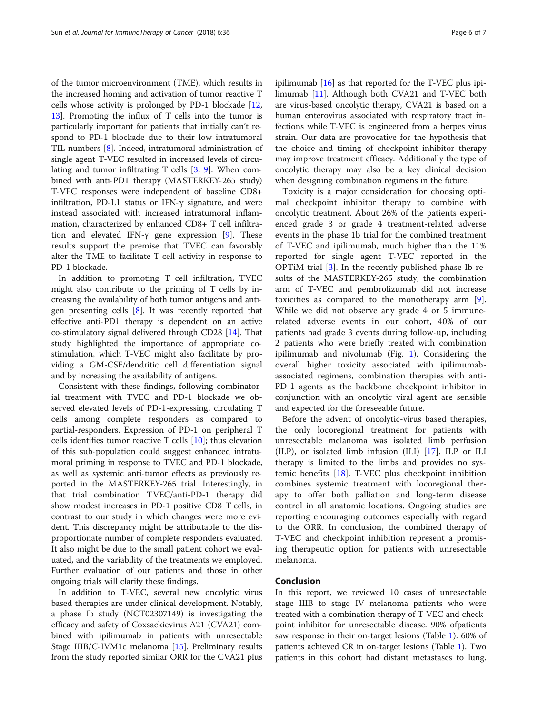of the tumor microenvironment (TME), which results in the increased homing and activation of tumor reactive T cells whose activity is prolonged by PD-1 blockade [[12](#page-6-0), [13\]](#page-6-0). Promoting the influx of T cells into the tumor is particularly important for patients that initially can't respond to PD-1 blockade due to their low intratumoral TIL numbers [[8\]](#page-6-0). Indeed, intratumoral administration of single agent T-VEC resulted in increased levels of circulating and tumor infiltrating T cells [\[3](#page-6-0), [9\]](#page-6-0). When combined with anti-PD1 therapy (MASTERKEY-265 study) T-VEC responses were independent of baseline CD8+ infiltration, PD-L1 status or IFN-γ signature, and were instead associated with increased intratumoral inflammation, characterized by enhanced CD8+ T cell infiltra-tion and elevated IFN-γ gene expression [[9](#page-6-0)]. These results support the premise that TVEC can favorably alter the TME to facilitate T cell activity in response to PD-1 blockade.

In addition to promoting T cell infiltration, TVEC might also contribute to the priming of T cells by increasing the availability of both tumor antigens and antigen presenting cells  $[8]$  $[8]$ . It was recently reported that effective anti-PD1 therapy is dependent on an active co-stimulatory signal delivered through CD28 [[14\]](#page-6-0). That study highlighted the importance of appropriate costimulation, which T-VEC might also facilitate by providing a GM-CSF/dendritic cell differentiation signal and by increasing the availability of antigens.

Consistent with these findings, following combinatorial treatment with TVEC and PD-1 blockade we observed elevated levels of PD-1-expressing, circulating T cells among complete responders as compared to partial-responders. Expression of PD-1 on peripheral T cells identifies tumor reactive T cells [\[10](#page-6-0)]; thus elevation of this sub-population could suggest enhanced intratumoral priming in response to TVEC and PD-1 blockade, as well as systemic anti-tumor effects as previously reported in the MASTERKEY-265 trial. Interestingly, in that trial combination TVEC/anti-PD-1 therapy did show modest increases in PD-1 positive CD8 T cells, in contrast to our study in which changes were more evident. This discrepancy might be attributable to the disproportionate number of complete responders evaluated. It also might be due to the small patient cohort we evaluated, and the variability of the treatments we employed. Further evaluation of our patients and those in other ongoing trials will clarify these findings.

In addition to T-VEC, several new oncolytic virus based therapies are under clinical development. Notably, a phase Ib study (NCT02307149) is investigating the efficacy and safety of Coxsackievirus A21 (CVA21) combined with ipilimumab in patients with unresectable Stage IIIB/C-IVM1c melanoma [[15](#page-6-0)]. Preliminary results from the study reported similar ORR for the CVA21 plus

ipilimumab [[16\]](#page-6-0) as that reported for the T-VEC plus ipilimumab [\[11](#page-6-0)]. Although both CVA21 and T-VEC both are virus-based oncolytic therapy, CVA21 is based on a human enterovirus associated with respiratory tract infections while T-VEC is engineered from a herpes virus strain. Our data are provocative for the hypothesis that the choice and timing of checkpoint inhibitor therapy may improve treatment efficacy. Additionally the type of oncolytic therapy may also be a key clinical decision when designing combination regimens in the future.

Toxicity is a major consideration for choosing optimal checkpoint inhibitor therapy to combine with oncolytic treatment. About 26% of the patients experienced grade 3 or grade 4 treatment-related adverse events in the phase 1b trial for the combined treatment of T-VEC and ipilimumab, much higher than the 11% reported for single agent T-VEC reported in the OPTiM trial [[3\]](#page-6-0). In the recently published phase Ib results of the MASTERKEY-265 study, the combination arm of T-VEC and pembrolizumab did not increase toxicities as compared to the monotherapy arm [\[9](#page-6-0)]. While we did not observe any grade 4 or 5 immunerelated adverse events in our cohort, 40% of our patients had grade 3 events during follow-up, including 2 patients who were briefly treated with combination ipilimumab and nivolumab (Fig. [1\)](#page-2-0). Considering the overall higher toxicity associated with ipilimumabassociated regimens, combination therapies with anti-PD-1 agents as the backbone checkpoint inhibitor in conjunction with an oncolytic viral agent are sensible and expected for the foreseeable future.

Before the advent of oncolytic-virus based therapies, the only locoregional treatment for patients with unresectable melanoma was isolated limb perfusion (ILP), or isolated limb infusion (ILI) [[17\]](#page-6-0). ILP or ILI therapy is limited to the limbs and provides no systemic benefits [[18\]](#page-6-0). T-VEC plus checkpoint inhibition combines systemic treatment with locoregional therapy to offer both palliation and long-term disease control in all anatomic locations. Ongoing studies are reporting encouraging outcomes especially with regard to the ORR. In conclusion, the combined therapy of T-VEC and checkpoint inhibition represent a promising therapeutic option for patients with unresectable melanoma.

## Conclusion

In this report, we reviewed 10 cases of unresectable stage IIIB to stage IV melanoma patients who were treated with a combination therapy of T-VEC and checkpoint inhibitor for unresectable disease. 90% ofpatients saw response in their on-target lesions (Table [1\)](#page-1-0). 60% of patients achieved CR in on-target lesions (Table [1](#page-1-0)). Two patients in this cohort had distant metastases to lung.